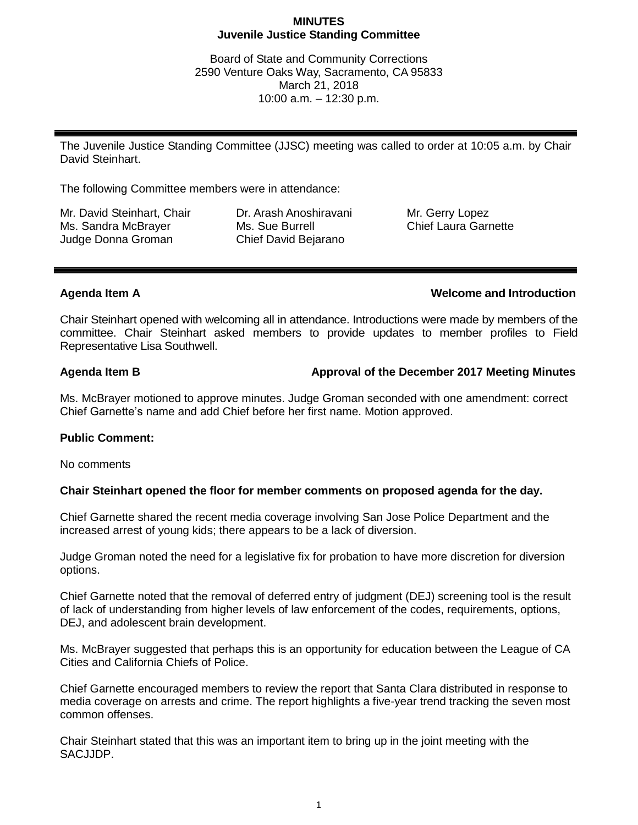### **MINUTES Juvenile Justice Standing Committee**

Board of State and Community Corrections 2590 Venture Oaks Way, Sacramento, CA 95833 March 21, 2018 10:00 a.m. – 12:30 p.m.

The Juvenile Justice Standing Committee (JJSC) meeting was called to order at 10:05 a.m. by Chair David Steinhart.

The following Committee members were in attendance:

Mr. David Steinhart, Chair Ms. Sandra McBrayer Judge Donna Groman

Dr. Arash Anoshiravani Ms. Sue Burrell Chief David Bejarano

Mr. Gerry Lopez Chief Laura Garnette

# **Agenda Item A Welcome and Introduction**

Chair Steinhart opened with welcoming all in attendance. Introductions were made by members of the committee. Chair Steinhart asked members to provide updates to member profiles to Field Representative Lisa Southwell.

# **Agenda Item B Approval of the December 2017 Meeting Minutes**

Ms. McBrayer motioned to approve minutes. Judge Groman seconded with one amendment: correct Chief Garnette's name and add Chief before her first name. Motion approved.

### **Public Comment:**

No comments

### **Chair Steinhart opened the floor for member comments on proposed agenda for the day.**

Chief Garnette shared the recent media coverage involving San Jose Police Department and the increased arrest of young kids; there appears to be a lack of diversion.

Judge Groman noted the need for a legislative fix for probation to have more discretion for diversion options.

Chief Garnette noted that the removal of deferred entry of judgment (DEJ) screening tool is the result of lack of understanding from higher levels of law enforcement of the codes, requirements, options, DEJ, and adolescent brain development.

Ms. McBrayer suggested that perhaps this is an opportunity for education between the League of CA Cities and California Chiefs of Police.

Chief Garnette encouraged members to review the report that Santa Clara distributed in response to media coverage on arrests and crime. The report highlights a five-year trend tracking the seven most common offenses.

Chair Steinhart stated that this was an important item to bring up in the joint meeting with the SACJJDP.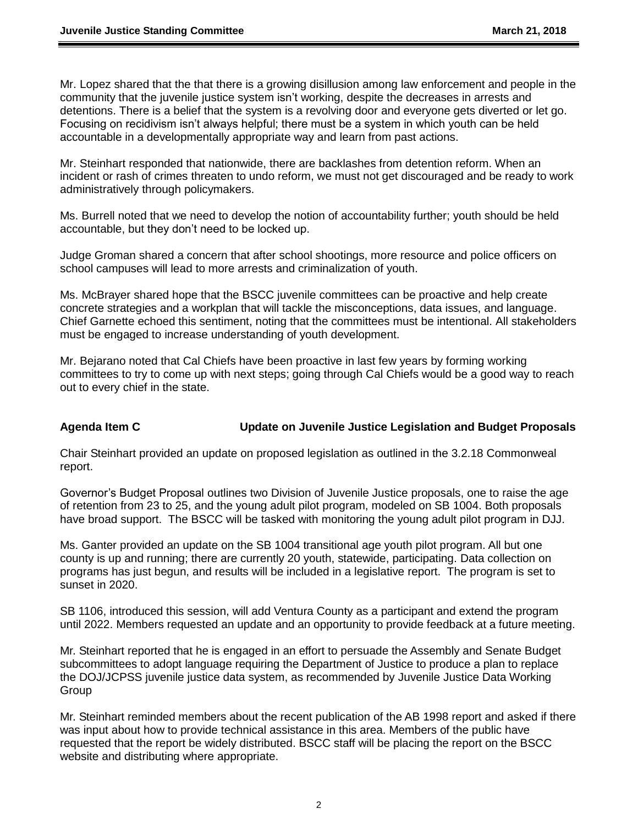Mr. Lopez shared that the that there is a growing disillusion among law enforcement and people in the community that the juvenile justice system isn't working, despite the decreases in arrests and detentions. There is a belief that the system is a revolving door and everyone gets diverted or let go. Focusing on recidivism isn't always helpful; there must be a system in which youth can be held accountable in a developmentally appropriate way and learn from past actions.

Mr. Steinhart responded that nationwide, there are backlashes from detention reform. When an incident or rash of crimes threaten to undo reform, we must not get discouraged and be ready to work administratively through policymakers.

Ms. Burrell noted that we need to develop the notion of accountability further; youth should be held accountable, but they don't need to be locked up.

Judge Groman shared a concern that after school shootings, more resource and police officers on school campuses will lead to more arrests and criminalization of youth.

Ms. McBrayer shared hope that the BSCC juvenile committees can be proactive and help create concrete strategies and a workplan that will tackle the misconceptions, data issues, and language. Chief Garnette echoed this sentiment, noting that the committees must be intentional. All stakeholders must be engaged to increase understanding of youth development.

Mr. Bejarano noted that Cal Chiefs have been proactive in last few years by forming working committees to try to come up with next steps; going through Cal Chiefs would be a good way to reach out to every chief in the state.

# **Agenda Item C Update on Juvenile Justice Legislation and Budget Proposals**

Chair Steinhart provided an update on proposed legislation as outlined in the 3.2.18 Commonweal report.

Governor's Budget Proposal outlines two Division of Juvenile Justice proposals, one to raise the age of retention from 23 to 25, and the young adult pilot program, modeled on SB 1004. Both proposals have broad support. The BSCC will be tasked with monitoring the young adult pilot program in DJJ.

Ms. Ganter provided an update on the SB 1004 transitional age youth pilot program. All but one county is up and running; there are currently 20 youth, statewide, participating. Data collection on programs has just begun, and results will be included in a legislative report. The program is set to sunset in 2020.

SB 1106, introduced this session, will add Ventura County as a participant and extend the program until 2022. Members requested an update and an opportunity to provide feedback at a future meeting.

Mr. Steinhart reported that he is engaged in an effort to persuade the Assembly and Senate Budget subcommittees to adopt language requiring the Department of Justice to produce a plan to replace the DOJ/JCPSS juvenile justice data system, as recommended by Juvenile Justice Data Working **Group** 

Mr. Steinhart reminded members about the recent publication of the AB 1998 report and asked if there was input about how to provide technical assistance in this area. Members of the public have requested that the report be widely distributed. BSCC staff will be placing the report on the BSCC website and distributing where appropriate.